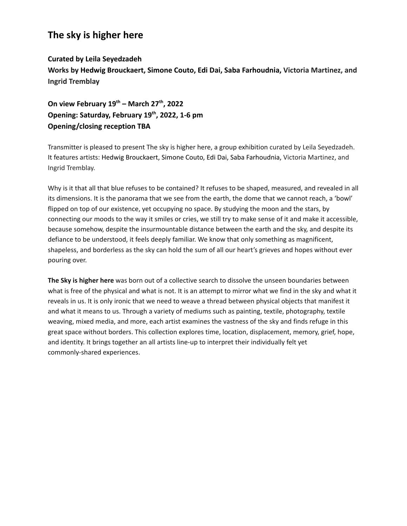## **The sky is higher here**

## **Curated by Leila Seyedzadeh**

**Works by Hedwig Brouckaert, Simone Couto, Edi Dai, Saba Farhoudnia, Victoria Martinez, and Ingrid Tremblay**

**On view February 19th – March 27th , 2022 Opening: Saturday, February 19th , 2022, 1-6 pm Opening/closing reception TBA**

Transmitter is pleased to present The sky is higher here, a group exhibition curated by Leila Seyedzadeh. It features artists: Hedwig Brouckaert, Simone Couto, Edi Dai, Saba Farhoudnia, Victoria Martinez, and Ingrid Tremblay.

Why is it that all that blue refuses to be contained? It refuses to be shaped, measured, and revealed in all its dimensions. It is the panorama that we see from the earth, the dome that we cannot reach, a 'bowl' flipped on top of our existence, yet occupying no space. By studying the moon and the stars, by connecting our moods to the way it smiles or cries, we still try to make sense of it and make it accessible, because somehow, despite the insurmountable distance between the earth and the sky, and despite its defiance to be understood, it feels deeply familiar. We know that only something as magnificent, shapeless, and borderless as the sky can hold the sum of all our heart's grieves and hopes without ever pouring over.

**The Sky is higher here** was born out of a collective search to dissolve the unseen boundaries between what is free of the physical and what is not. It is an attempt to mirror what we find in the sky and what it reveals in us. It is only ironic that we need to weave a thread between physical objects that manifest it and what it means to us. Through a variety of mediums such as painting, textile, photography, textile weaving, mixed media, and more, each artist examines the vastness of the sky and finds refuge in this great space without borders. This collection explores time, location, displacement, memory, grief, hope, and identity. It brings together an all artists line-up to interpret their individually felt yet commonly-shared experiences.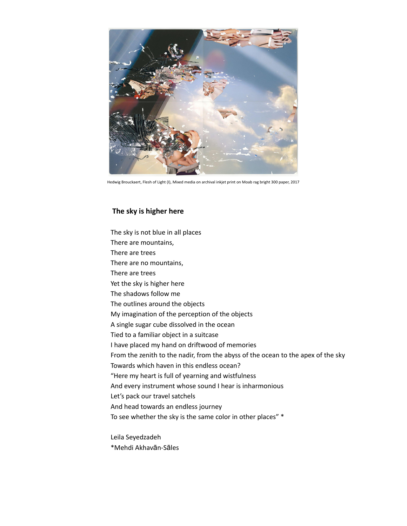

Hedwig Brouckaert, Flesh of Light (I), Mixed media on archival inkjet print on Moab rag bright 300 paper, 2017

## **The sky is higher here**

The sky is not blue in all places There are mountains, There are trees There are no mountains, There are trees Yet the sky is higher here The shadows follow me The outlines around the objects My imagination of the perception of the objects A single sugar cube dissolved in the ocean Tied to a familiar object in a suitcase I have placed my hand on driftwood of memories From the zenith to the nadir, from the abyss of the ocean to the apex of the sky Towards which haven in this endless ocean? "Here my heart is full of yearning and wistfulness And every instrument whose sound I hear is inharmonious Let's pack our travel satchels And head towards an endless journey To see whether the sky is the same color in other places" \*

Leila Seyedzadeh \*Mehdi Akhavān-Sāles